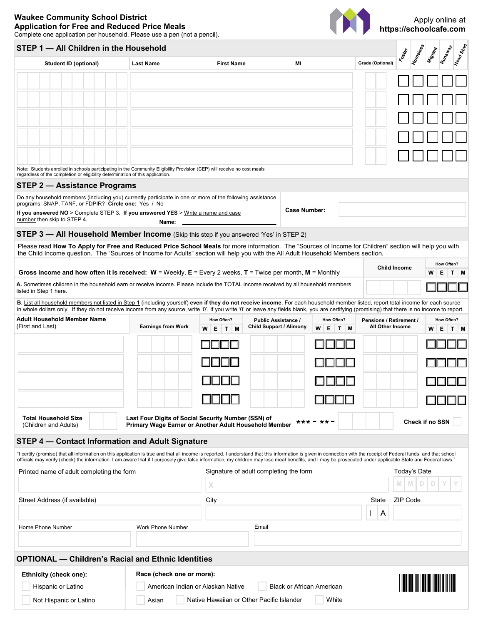## **Waukee Community School District Application for Free and Reduced Price Meals** Complete one application per household. Please use a pen (not a pencil).



## Head Start **STEP 1 — All Children in the Household Homeless** Runaway **Migraph Foster Student ID (optional) Last Name Grade (Optional) Case (Optional) Grade (Optional)** Note: Students enrolled in schools participating in the Community Eligibility Provision (CEP) will receive no cost meals regardless of the completion or eligibility determination of this application. **STEP 2 — Assistance Programs** Do any household members (including you) currently participate in one or more of the following assistance programs: SNAP, TANF, or FDPIR? **Circle one**: Yes / No **Case Number: If you answered NO** > Complete STEP 3. **If you answered YES** > Write a name and case number then skip to STEP 4. **Name:STEP 3 — All Household Member Income** (Skip this step if you answered 'Yes' in STEP 2) Please read **How To Apply for Free and Reduced Price School Meals** for more information. The "Sources of Income for Children" section will help you with the Child Income question. The "Sources of Income for Adults" section will help you with the All Adult Household Members section. **Child Income How Often?**<br> **W** E T  **Gross income and how often it is received: W** = Weekly, **E** = Every 2 weeks, **T** = Twice per month, **M** = Monthly **W E T M A.** Sometimes children in the household earn or receive income. Please include the TOTAL income received by all household members **WA A E READEMENT A EXALGADEMENT A EXALGADEMENT A EXALGADEMENT A LIGHT A LIGHT A LI B.** List all household members not listed in Step 1 (including yourself) **even if they do not receive income**. For each household member listed, report total income for each source in whole dollars only. If they do not receive income from any source, write '0'. If you write '0' or leave any fields blank, you are certifying (promising) that there is no income to report. **Adult Household Member Name How Often? Public Assistance / How Often? Pensions / Retirement / How Often?** (First and Last) **Earnings from Work Child Support / Alimony All Other Income W E T M W E T M W E T M W E T M W E T M W E T M W E T M W E T M W E T M W E T M W E T M W E T M W E T M W E T M W E T M Total Household Size Last Four Digits of Social Security Number (SSN) of**   $*** - **$ **Check if no SSN Primary Wage Earner or Another Adult Household Member** (Children and Adults) **STEP 4 — Contact Information and Adult Signature** "I certify (promise) that all information on this application is true and that all income is reported. I understand that this information is given in connection with the receipt of Federal funds, and that school officials may verify (check) the information. I am aware that if I purposely give false information, my children may lose meal benefits, and I may be prosecuted under applicable State and Federal laws." Printed name of adult completing the form Signature of adult completing the form Today's Date **M M D D Y Y X** Street Address (if available) **State CIP Code** City City City State ZIP Code **State CIP** Code I A Home Phone Number Work Phone Number Email **OPTIONAL — Children's Racial and Ethnic Identities Race (check one or more): Ethnicity (check one):** Hispanic or Latino American Indian or Alaskan Native Black or African American Native Hawaiian or Other Pacific Islander Vhite Not Hispanic or Latino Asian